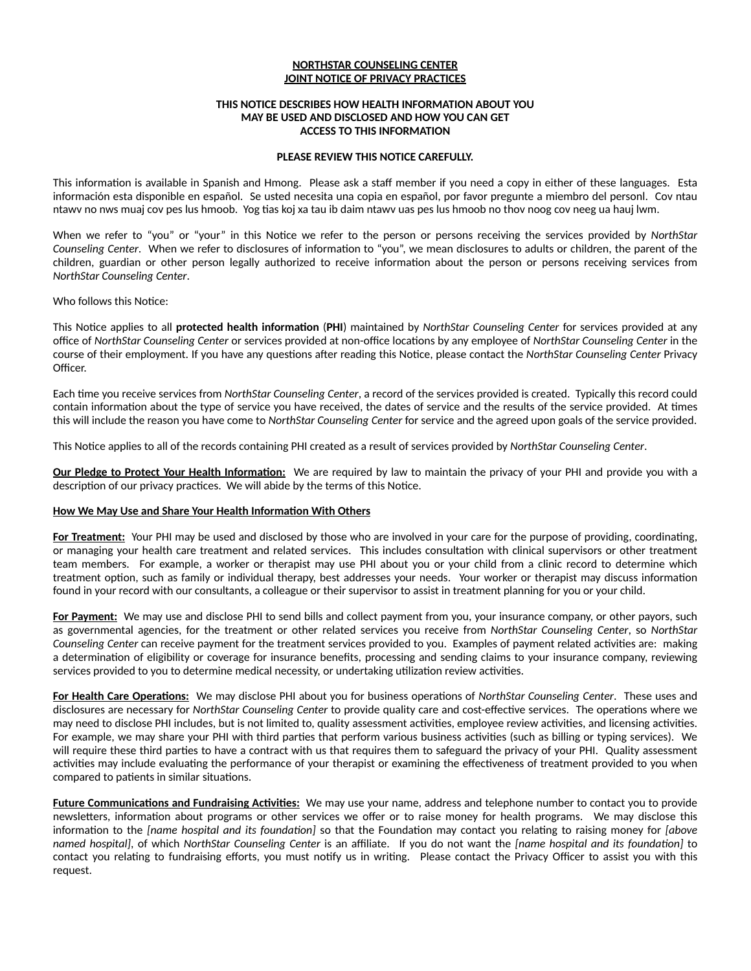# **NORTHSTAR COUNSELING CENTER JOINT NOTICE OF PRIVACY PRACTICES**

#### **THIS NOTICE DESCRIBES HOW HEALTH INFORMATION ABOUT YOU MAY BE USED AND DISCLOSED AND HOW YOU CAN GET ACCESS TO THIS INFORMATION**

### **PLEASE REVIEW THIS NOTICE CAREFULLY.**

This information is available in Spanish and Hmong. Please ask a staff member if you need a copy in either of these languages. Esta información esta disponible en español. Se usted necesita una copia en español, por favor pregunte a miembro del personl. Cov ntau ntawv no nws muaj cov pes lus hmoob. Yog tias koj xa tau ib daim ntawv uas pes lus hmoob no thov noog cov neeg ua hauj lwm.

When we refer to "you" or "your" in this Notice we refer to the person or persons receiving the services provided by *NorthStar Counseling Center*. When we refer to disclosures of information to "you", we mean disclosures to adults or children, the parent of the children, guardian or other person legally authorized to receive information about the person or persons receiving services from *NorthStar Counseling Center*.

### Who follows this Notice:

This Notice applies to all **protected health information** (**PHI**) maintained by *NorthStar Counseling Center* for services provided at any office of *NorthStar Counseling Center* or services provided at non-office locations by any employee of *NorthStar Counseling Center* in the course of their employment. If you have any questions after reading this Notice, please contact the *NorthStar Counseling Center* Privacy Officer.

Each time you receive services from *NorthStar Counseling Center*, a record of the services provided is created. Typically this record could contain information about the type of service you have received, the dates of service and the results of the service provided. At times this will include the reason you have come to *NorthStar Counseling Center* for service and the agreed upon goals of the service provided.

This Notice applies to all of the records containing PHI created as a result of services provided by *NorthStar Counseling Center*.

**Our Pledge to Protect Your Health Information:** We are required by law to maintain the privacy of your PHI and provide you with a description of our privacy practices. We will abide by the terms of this Notice.

## **How We May Use and Share Your Health Information With Others**

**For Treatment:** Your PHI may be used and disclosed by those who are involved in your care for the purpose of providing, coordinating, or managing your health care treatment and related services. This includes consultation with clinical supervisors or other treatment team members. For example, a worker or therapist may use PHI about you or your child from a clinic record to determine which treatment option, such as family or individual therapy, best addresses your needs. Your worker or therapist may discuss information found in your record with our consultants, a colleague or their supervisor to assist in treatment planning for you or your child.

**For Payment:** We may use and disclose PHI to send bills and collect payment from you, your insurance company, or other payors, such as governmental agencies, for the treatment or other related services you receive from *NorthStar Counseling Center*, so *NorthStar Counseling Center* can receive payment for the treatment services provided to you. Examples of payment related activities are: making a determination of eligibility or coverage for insurance benefits, processing and sending claims to your insurance company, reviewing services provided to you to determine medical necessity, or undertaking utilization review activities.

**For Health Care Operations:** We may disclose PHI about you for business operations of *NorthStar Counseling Center*. These uses and disclosures are necessary for *NorthStar Counseling Center* to provide quality care and cost-effective services. The operations where we may need to disclose PHI includes, but is not limited to, quality assessment activities, employee review activities, and licensing activities. For example, we may share your PHI with third parties that perform various business activities (such as billing or typing services). We will require these third parties to have a contract with us that requires them to safeguard the privacy of your PHI. Quality assessment activities may include evaluating the performance of your therapist or examining the effectiveness of treatment provided to you when compared to patients in similar situations.

**Future Communications and Fundraising Activities:** We may use your name, address and telephone number to contact you to provide newsletters, information about programs or other services we offer or to raise money for health programs. We may disclose this information to the *[name hospital and its foundation]* so that the Foundation may contact you relating to raising money for *[above named hospital]*, of which *NorthStar Counseling Center* is an affiliate. If you do not want the *[name hospital and its foundation]* to contact you relating to fundraising efforts, you must notify us in writing. Please contact the Privacy Officer to assist you with this request.